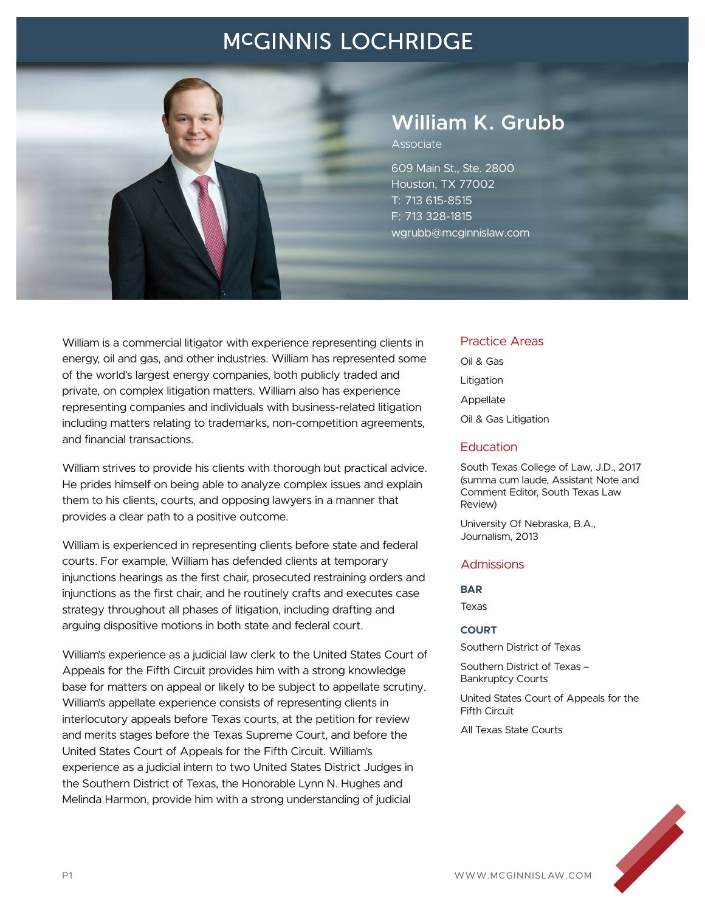

## **William K. Grubb**

Associate

609 Main St., Ste. 2800 Houston, TX 77002 T: 713 615-8515 F: 713 328-1815 wgrubb@mcginnislaw.com

William is a commercial litigator with experience representing clients in energy, oil and gas, and other industries. William has represented some of the world's largest energy companies, both publicly traded and private, on complex litigation matters. William also has experience representing companies and individuals with business-related litigation including matters relating to trademarks, non-competition agreements, and financial transactions.

William strives to provide his clients with thorough but practical advice. He prides himself on being able to analyze complex issues and explain them to his clients, courts, and opposing lawyers in a manner that provides a clear path to a positive outcome.

William is experienced in representing clients before state and federal courts. For example, William has defended clients at temporary injunctions hearings as the first chair, prosecuted restraining orders and injunctions as the first chair, and he routinely crafts and executes case strategy throughout all phases of litigation, including drafting and arguing dispositive motions in both state and federal court.

William's experience as a judicial law clerk to the United States Court of Appeals for the Fifth Circuit provides him with a strong knowledge base for matters on appeal or likely to be subject to appellate scrutiny. William's appellate experience consists of representing clients in interlocutory appeals before Texas courts, at the petition for review and merits stages before the Texas Supreme Court, and before the United States Court of Appeals for the Fifth Circuit. William's experience as a judicial intern to two United States District Judges in the Southern District of Texas, the Honorable Lynn N. Hughes and Melinda Harmon, provide him with a strong understanding of judicial

#### Practice Areas

Oil & Gas Litigation Appellate Oil & Gas Litigation

#### **Education**

South Texas College of Law, J.D., 2017 (summa cum laude, Assistant Note and Comment Editor, South Texas Law Review)

University Of Nebraska, B.A., Journalism, 2013

#### **Admissions**

#### **BAR**

Texas

#### **COURT**

Southern District of Texas

Southern District of Texas – Bankruptcy Courts

United States Court of Appeals for the Fifth Circuit

All Texas State Courts

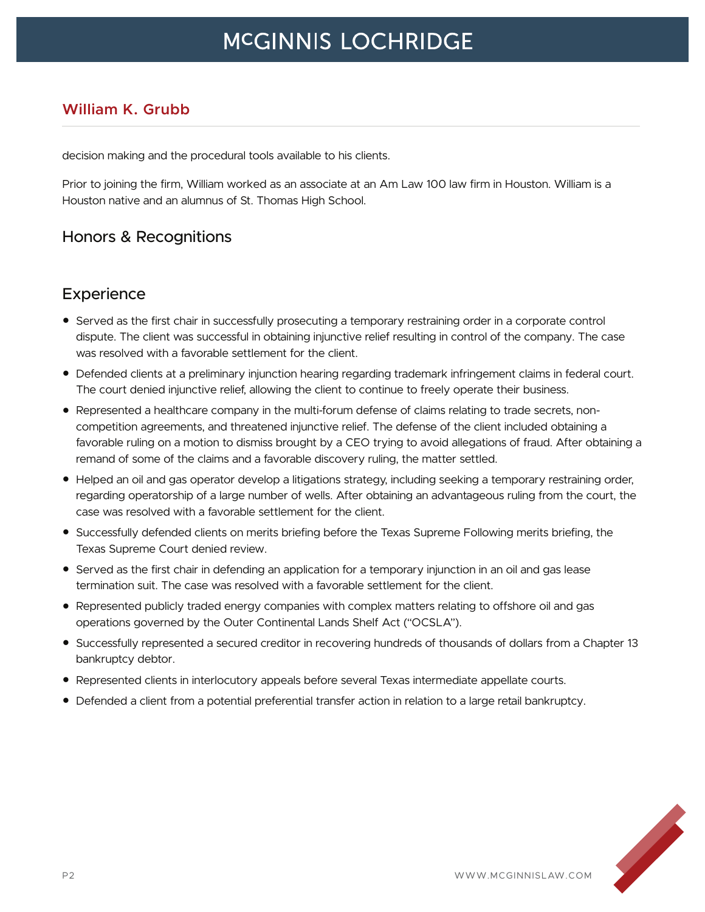### **William K. Grubb**

decision making and the procedural tools available to his clients.

Prior to joining the firm, William worked as an associate at an Am Law 100 law firm in Houston. William is a Houston native and an alumnus of St. Thomas High School.

### Honors & Recognitions

### **Experience**

- Served as the first chair in successfully prosecuting a temporary restraining order in a corporate control dispute. The client was successful in obtaining injunctive relief resulting in control of the company. The case was resolved with a favorable settlement for the client.
- Defended clients at a preliminary injunction hearing regarding trademark infringement claims in federal court. The court denied injunctive relief, allowing the client to continue to freely operate their business.
- Represented a healthcare company in the multi-forum defense of claims relating to trade secrets, noncompetition agreements, and threatened injunctive relief. The defense of the client included obtaining a favorable ruling on a motion to dismiss brought by a CEO trying to avoid allegations of fraud. After obtaining a remand of some of the claims and a favorable discovery ruling, the matter settled.
- Helped an oil and gas operator develop a litigations strategy, including seeking a temporary restraining order, regarding operatorship of a large number of wells. After obtaining an advantageous ruling from the court, the case was resolved with a favorable settlement for the client.
- Successfully defended clients on merits briefing before the Texas Supreme Following merits briefing, the Texas Supreme Court denied review.
- Served as the first chair in defending an application for a temporary injunction in an oil and gas lease termination suit. The case was resolved with a favorable settlement for the client.
- Represented publicly traded energy companies with complex matters relating to offshore oil and gas operations governed by the Outer Continental Lands Shelf Act ("OCSLA").
- Successfully represented a secured creditor in recovering hundreds of thousands of dollars from a Chapter 13 bankruptcy debtor.
- Represented clients in interlocutory appeals before several Texas intermediate appellate courts.
- Defended a client from a potential preferential transfer action in relation to a large retail bankruptcy.

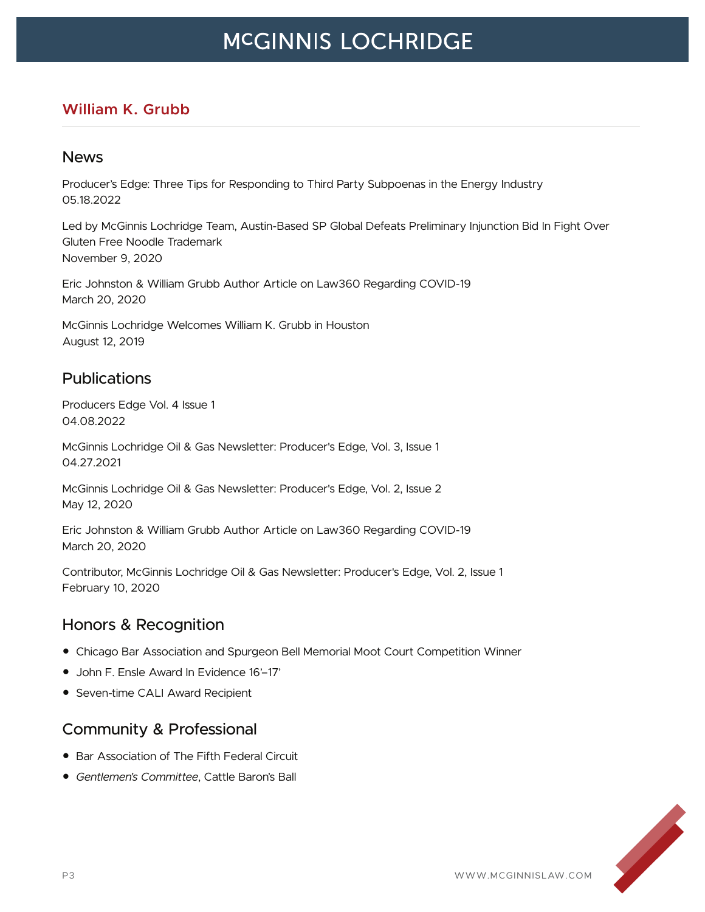### **William K. Grubb**

#### News

Producer's Edge: Three Tips for Responding to Third Party Subpoenas in the Energy Industry 05.18.2022

Led by McGinnis Lochridge Team, Austin-Based SP Global Defeats Preliminary Injunction Bid In Fight Over Gluten Free Noodle Trademark November 9, 2020

Eric Johnston & William Grubb Author Article on Law360 Regarding COVID-19 March 20, 2020

McGinnis Lochridge Welcomes William K. Grubb in Houston August 12, 2019

#### Publications

Producers Edge Vol. 4 Issue 1 04.08.2022

McGinnis Lochridge Oil & Gas Newsletter: Producer's Edge, Vol. 3, Issue 1 04.27.2021

McGinnis Lochridge Oil & Gas Newsletter: Producer's Edge, Vol. 2, Issue 2 May 12, 2020

Eric Johnston & William Grubb Author Article on Law360 Regarding COVID-19 March 20, 2020

Contributor, McGinnis Lochridge Oil & Gas Newsletter: Producer's Edge, Vol. 2, Issue 1 February 10, 2020

### Honors & Recognition

- Chicago Bar Association and Spurgeon Bell Memorial Moot Court Competition Winner
- John F. Ensle Award In Evidence 16'–17'
- Seven-time CALI Award Recipient

### Community & Professional

- Bar Association of The Fifth Federal Circuit
- *Gentlemen's Committee*, Cattle Baron's Ball